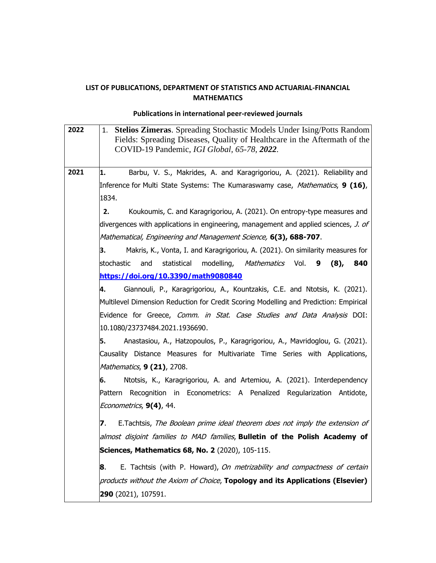## **LIST OF PUBLICATIONS, DEPARTMENT OF STATISTICS AND ACTUARIAL-FINANCIAL MATHEMATICS**

## **Publications in international peer-reviewed journals**

| 2022 | <b>Stelios Zimeras.</b> Spreading Stochastic Models Under Ising/Potts Random<br>1.<br>Fields: Spreading Diseases, Quality of Healthcare in the Aftermath of the<br>COVID-19 Pandemic, IGI Global, 65-78, 2022. |
|------|----------------------------------------------------------------------------------------------------------------------------------------------------------------------------------------------------------------|
| 2021 | Barbu, V. S., Makrides, A. and Karagrigoriou, A. (2021). Reliability and<br>1.                                                                                                                                 |
|      | Inference for Multi State Systems: The Kumaraswamy case, <i>Mathematics</i> , <b>9 (16)</b> ,                                                                                                                  |
|      | 1834.                                                                                                                                                                                                          |
|      | 2.<br>Koukoumis, C. and Karagrigoriou, A. (2021). On entropy-type measures and                                                                                                                                 |
|      | divergences with applications in engineering, management and applied sciences, J. of                                                                                                                           |
|      | Mathematical, Engineering and Management Science, 6(3), 688-707.                                                                                                                                               |
|      | Makris, K., Vonta, I. and Karagrigoriou, A. (2021). On similarity measures for<br>З.                                                                                                                           |
|      | stochastic<br>and<br>statistical<br>modelling, <i>Mathematics</i> Vol.<br>$(8)$ ,<br>840<br>9                                                                                                                  |
|      | https://doi.org/10.3390/math9080840                                                                                                                                                                            |
|      | Giannouli, P., Karagrigoriou, A., Kountzakis, C.E. and Ntotsis, K. (2021).<br>4.                                                                                                                               |
|      | Multilevel Dimension Reduction for Credit Scoring Modelling and Prediction: Empirical                                                                                                                          |
|      | Evidence for Greece, Comm. in Stat. Case Studies and Data Analysis DOI:                                                                                                                                        |
|      | 10.1080/23737484.2021.1936690.                                                                                                                                                                                 |
|      | Anastasiou, A., Hatzopoulos, P., Karagrigoriou, A., Mavridoglou, G. (2021).<br>5.                                                                                                                              |
|      | Causality Distance Measures for Multivariate Time Series with Applications,                                                                                                                                    |
|      | Mathematics, 9 (21), 2708.                                                                                                                                                                                     |
|      | Ntotsis, K., Karagrigoriou, A. and Artemiou, A. (2021). Interdependency<br>6.                                                                                                                                  |
|      | Pattern Recognition in Econometrics: A Penalized Regularization Antidote,                                                                                                                                      |
|      | Econometrics, 9(4), 44.                                                                                                                                                                                        |
|      | E.Tachtsis, The Boolean prime ideal theorem does not imply the extension of<br>7.                                                                                                                              |
|      | almost disjoint families to MAD families, <b>Bulletin of the Polish Academy of</b>                                                                                                                             |
|      | Sciences, Mathematics 68, No. 2 (2020), 105-115.                                                                                                                                                               |
|      |                                                                                                                                                                                                                |
|      | E. Tachtsis (with P. Howard), On metrizability and compactness of certain<br>8.                                                                                                                                |
|      | products without the Axiom of Choice, Topology and its Applications (Elsevier)                                                                                                                                 |
|      | <b>290</b> (2021), 107591.                                                                                                                                                                                     |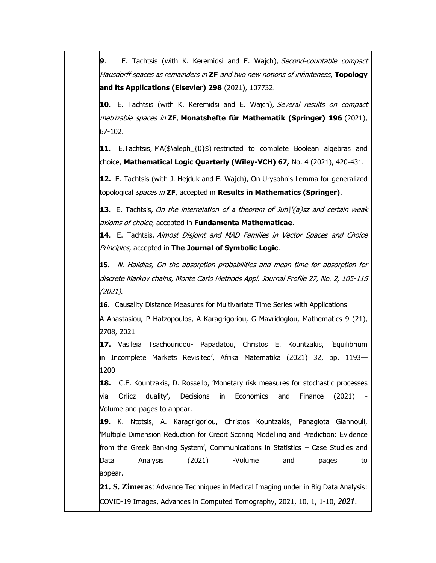**9.** E. Tachtsis (with K. Keremidsi and E. Wajch), Second-countable compact Hausdorff spaces as remainders in **ZF** and two new notions of infiniteness, **Topology and its Applications (Elsevier) 298** (2021), 107732.

**10**. Ε. Τachtsis (with Κ. Κeremidsi and E. Wajch), Several results on compact metrizable spaces in **ZF**, **Monatshefte für Mathematik (Springer) 196** (2021), 67-102.

**11**. Ε.Τachtsis, MA(\$\aleph\_{0}\$) restricted to complete Boolean algebras and choice, **Mathematical Logic Quarterly (Wiley-VCH) 67,** No. 4 (2021), 420-431.

**12.** Ε. Τachtsis (with J. Hejduk and E. Wajch), On Urysohn's Lemma for generalized topological spaces in **ZF**, accepted in **Results in Mathematics (Springer)**.

**13**. Ε. Τachtsis, On the interrelation of a theorem of Juh\'{a}sz and certain weak axioms of choice, accepted in **Fundamenta Mathematicae**.

**14**. Ε. Τachtsis, Almost Disjoint and MAD Families in Vector Spaces and Choice Principles, accepted in **The Journal of Symbolic Logic**.

**15.** N. Halidias, On the absorption probabilities and mean time for absorption for discrete Markov chains, Monte Carlo Methods Appl. Journal Profile 27, No. 2, 105-115 (2021).

**16**. Causality Distance Measures for Multivariate Time Series with Applications

A Anastasiou, P Hatzopoulos, A Karagrigoriou, G Mavridoglou, Mathematics 9 (21), 2708, 2021

**17.** Vasileia Tsachouridou- Papadatou, Christos E. Kountzakis, 'Equilibrium in Incomplete Markets Revisited', Afrika Matematika (2021) 32, pp. 1193— 1200

**18.** C.E. Kountzakis, D. Rossello, 'Monetary risk measures for stochastic processes via Orlicz duality', Decisions in Economics and Finance (2021) Volume and pages to appear.

**19**. K. Ntotsis, A. Karagrigoriou, Christos Kountzakis, Panagiota Giannouli, 'Multiple Dimension Reduction for Credit Scoring Modelling and Prediction: Evidence from the Greek Banking System', Communications in Statistics – Case Studies and Data Analysis (2021) -Volume and pages to appear.

**21. S. Zimeras**: Advance Techniques in Medical Imaging under in Big Data Analysis: COVID-19 Images, Advances in Computed Tomography, 2021, 10, 1, 1-10, *2021*.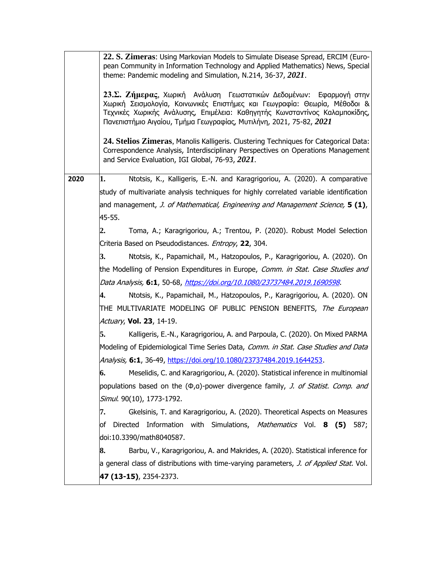|      | 22. S. Zimeras: Using Markovian Models to Simulate Disease Spread, ERCIM (Euro-<br>pean Community in Information Technology and Applied Mathematics) News, Special<br>theme: Pandemic modeling and Simulation, N.214, 36-37, 2021.                                                                   |
|------|------------------------------------------------------------------------------------------------------------------------------------------------------------------------------------------------------------------------------------------------------------------------------------------------------|
|      | 23.Σ. Ζήμερας, Χωρική Ανάλυση Γεωστατικών Δεδομένων: Εφαρμογή στην<br>Χωρική Σεισμολογία, Κοινωνικές Επιστήμες και Γεωγραφία: Θεωρία, Μέθοδοι &<br>Τεχνικές Χωρικής Ανάλυσης, Επιμέλεια: Καθηγητής Κωνσταντίνος Καλαμποκίδης,<br>Πανεπιστήμιο Αιγαίου, Τμήμα Γεωγραφίας, Μυτιλήνη, 2021, 75-82, 2021 |
|      | 24. Stelios Zimeras, Manolis Kalligeris. Clustering Techniques for Categorical Data:<br>Correspondence Analysis, Interdisciplinary Perspectives on Operations Management<br>and Service Evaluation, IGI Global, 76-93, 2021.                                                                         |
| 2020 | Ntotsis, K., Kalligeris, E.-N. and Karagrigoriou, A. (2020). A comparative<br>1.                                                                                                                                                                                                                     |
|      | study of multivariate analysis techniques for highly correlated variable identification                                                                                                                                                                                                              |
|      | and management, J. of Mathematical, Engineering and Management Science, 5 (1),                                                                                                                                                                                                                       |
|      | 45-55.                                                                                                                                                                                                                                                                                               |
|      | 2.<br>Toma, A.; Karagrigoriou, A.; Trentou, P. (2020). Robust Model Selection                                                                                                                                                                                                                        |
|      | Criteria Based on Pseudodistances. Entropy, 22, 304.                                                                                                                                                                                                                                                 |
|      | 3.<br>Ntotsis, K., Papamichail, M., Hatzopoulos, P., Karagrigoriou, A. (2020). On                                                                                                                                                                                                                    |
|      | the Modelling of Pension Expenditures in Europe, Comm. in Stat. Case Studies and                                                                                                                                                                                                                     |
|      | Data Analysis, 6:1, 50-68, https://doi.org/10.1080/23737484.2019.1690598.                                                                                                                                                                                                                            |
|      | 4.<br>Ntotsis, K., Papamichail, M., Hatzopoulos, P., Karagrigoriou, A. (2020). ON                                                                                                                                                                                                                    |
|      | THE MULTIVARIATE MODELING OF PUBLIC PENSION BENEFITS, <i>The European</i>                                                                                                                                                                                                                            |
|      | Actuary, Vol. 23, 14-19.                                                                                                                                                                                                                                                                             |
|      | 5.<br>Kalligeris, E.-N., Karagrigoriou, A. and Parpoula, C. (2020). On Mixed PARMA                                                                                                                                                                                                                   |
|      | Modeling of Epidemiological Time Series Data, Comm. in Stat. Case Studies and Data                                                                                                                                                                                                                   |
|      | Analysis, 6:1, 36-49, https://doi.org/10.1080/23737484.2019.1644253.                                                                                                                                                                                                                                 |
|      | Meselidis, C. and Karagrigoriou, A. (2020). Statistical inference in multinomial<br>6.                                                                                                                                                                                                               |
|      | populations based on the (0,a)-power divergence family, J. of Statist. Comp. and                                                                                                                                                                                                                     |
|      | Simul. 90(10), 1773-1792.                                                                                                                                                                                                                                                                            |
|      | Gkelsinis, T. and Karagrigoriou, A. (2020). Theoretical Aspects on Measures<br>7.                                                                                                                                                                                                                    |
|      | Information with Simulations, Mathematics Vol. 8 (5)<br>Directed<br>of<br>587;                                                                                                                                                                                                                       |
|      | doi:10.3390/math8040587.                                                                                                                                                                                                                                                                             |
|      | 8.<br>Barbu, V., Karagrigoriou, A. and Makrides, A. (2020). Statistical inference for                                                                                                                                                                                                                |
|      | a general class of distributions with time-varying parameters, J. of Applied Stat. Vol.                                                                                                                                                                                                              |
|      | 47 (13-15), 2354-2373.                                                                                                                                                                                                                                                                               |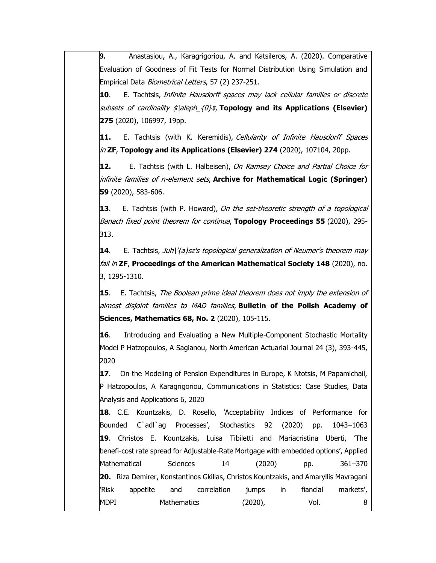**9.** Anastasiou, A., Karagrigoriou, A. and Katsileros, A. (2020). Comparative Evaluation of Goodness of Fit Tests for Normal Distribution Using Simulation and Empirical Data Biometrical Letters, 57 (2) 237-251.

**10**. Ε. Tachtsis, Infinite Hausdorff spaces may lack cellular families or discrete subsets of cardinality \$\aleph\_{0}\$, **Topology and its Applications (Elsevier) 275** (2020), 106997, 19pp.

**11.** Ε. Tachtsis (with Κ. Κeremidis), Cellularity of Infinite Hausdorff Spaces in **ZF**, **Topology and its Applications (Elsevier) 274** (2020), 107104, 20pp.

**12.** Ε. Tachtsis (with L. Halbeisen), On Ramsey Choice and Partial Choice for infinite families of n-element sets, **Archive for Mathematical Logic (Springer) 59** (2020), 583-606.

**13**. Ε. Tachtsis (with P. Howard), On the set-theoretic strength of a topological Banach fixed point theorem for continua, **Topology Proceedings 55** (2020), 295- 313.

**14.** E. Tachtsis, Juh|'{a}sz's topological generalization of Neumer's theorem may fail in **ZF**, **Proceedings of the American Mathematical Society 148** (2020), no. 3, 1295-1310.

**15**. Ε. Tachtsis, The Boolean prime ideal theorem does not imply the extension of almost disjoint families to MAD families, **Bulletin of the Polish Academy of Sciences, Mathematics 68, No. 2** (2020), 105-115.

**16**. Introducing and Evaluating a New Multiple-Component Stochastic Mortality Model P Hatzopoulos, A Sagianou, North American Actuarial Journal 24 (3), 393-445, 2020

**17**. On the Modeling of Pension Expenditures in Europe, K Ntotsis, M Papamichail, P Hatzopoulos, A Karagrigoriou, Communications in Statistics: Case Studies, Data Analysis and Applications 6, 2020

**18**. C.E. Kountzakis, D. Rosello, 'Acceptability Indices of Performance for Bounded C`adl`ag Processes', Stochastics 92 (2020) pp. 1043–1063 **19**. Christos E. Kountzakis, Luisa Tibiletti and Mariacristina Uberti, 'The benefi-cost rate spread for Adjustable-Rate Mortgage with embedded options', Applied Mathematical Sciences 14 (2020) pp. 361–370 **20.** Riza Demirer, Konstantinos Gkillas, Christos Kountzakis, and Amaryllis Mavragani 'Risk appetite and correlation jumps in fiancial markets', MDPI Mathematics (2020), Vol. 8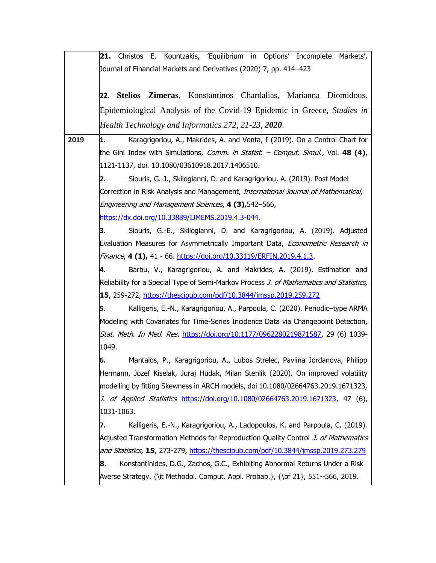**21.** Christos E. Kountzakis, 'Equilibrium in Options' Incomplete Markets', Journal of Financial Markets and Derivatives (2020) 7, pp. 414–423 **22. Stelios Zimeras**, Konstantinos Chardalias, Marianna Diomidous. Epidemiological Analysis of the Covid-19 Epidemic in Greece, *Studies in Health Technology and Informatics 272, 21-23, 2020*. **2019 1.** Karagrigoriou, A., Makrides, A. and Vonta, I (2019). On a Control Chart for the Gini Index with Simulations, Comm. in Statist. – Comput. Simul., Vol. **48 (4)**, 1121-1137, doi. 10.1080/03610918.2017.1406510. **2.** Siouris, G.-J., Skilogianni, D. and Karagrigoriou, A. (2019). Post Model Correction in Risk Analysis and Management, International Journal of Mathematical, Engineering and Management Sciences, **4 (3),**542–566, [https://dx.doi.org/10.33889/IJMEMS.2019.4.3-044.](https://dx.doi.org/10.33889/IJMEMS.2019.4.3-044) **3.** Siouris, G.-E., Skilogianni, D. and Karagrigoriou, A. (2019). Adjusted Evaluation Measures for Asymmetrically Important Data, *Econometric Research in* Finance, **4 (1),** 41 - 66. [https://doi.org/10.33119/ERFIN.2019.4.1.3.](https://doi.org/10.33119/ERFIN.2019.4.1.3) **4.** Barbu, V., Karagrigoriou, A. and Makrides, A. (2019). Estimation and Reliability for a Special Type of Semi-Markov Process J. of Mathematics and Statistics, **15**, 259-272, <https://thescipub.com/pdf/10.3844/jmssp.2019.259.272> **5.** Kalligeris, E.-N., Karagrigoriou, A., Parpoula, C. (2020). Periodic–type ARMA Modeling with Covariates for Time-Series Incidence Data via Changepoint Detection, Stat. Meth. In Med. Res. [https://doi.org/10.1177/0962280219871587,](https://doi.org/10.1177/0962280219871587) 29 (6) 1039-1049. **6.** Mantalos, P., Karagrigoriou, A., Lubos Strelec, Pavlina Jordanova, Philipp Hermann, Jozef Kiselak, Juraj Hudak, Milan Stehlik (2020). On improved volatility modelling by fitting Skewness in ARCH models, doi 10.1080/02664763.2019.1671323, J. of Applied Statistics [https://doi.org/10.1080/02664763.2019.1671323,](https://doi.org/10.1080/02664763.2019.1671323) 47 (6), 1031-1063. **7.** Kalligeris, E.-N., Karagrigoriou, A., Ladopoulos, K. and Parpoula, C. (2019). Adjusted Transformation Methods for Reproduction Quality Control J. of Mathematics and Statistics, **15**, 273-279, <https://thescipub.com/pdf/10.3844/jmssp.2019.273.279> **8.** Konstantinides, D.G., Zachos, G.C., Exhibiting Abnormal Returns Under a Risk Averse Strategy. {\it Methodol. Comput. Appl. Probab.}, {\bf 21}, 551--566, 2019.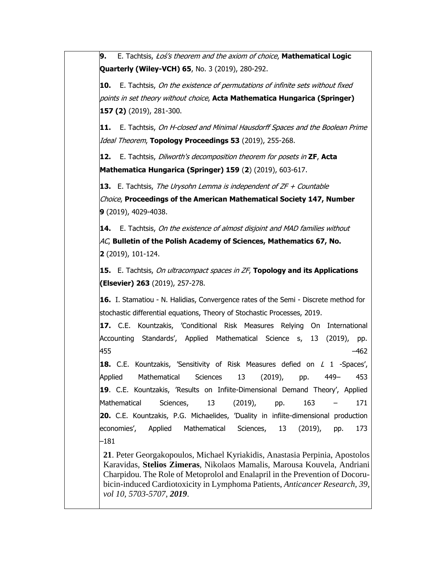**9.** Ε. Tachtsis, Łoś's theorem and the axiom of choice, **Mathematical Logic Quarterly (Wiley-VCH) 65**, No. 3 (2019), 280-292.

**10.** Ε. Tachtsis, On the existence of permutations of infinite sets without fixed points in set theory without choice, **Acta Mathematica Hungarica (Springer) 157 (2)** (2019), 281-300.

**11.** Ε. Tachtsis, On H-closed and Minimal Hausdorff Spaces and the Boolean Prime Ideal Theorem, **Topology Proceedings 53** (2019), 255-268.

**12.** Ε. Tachtsis, Dilworth's decomposition theorem for posets in **ZF**, **Acta Mathematica Hungarica (Springer) 159** (**2**) (2019), 603-617.

**13.** Ε. Tachtsis, The Urysohn Lemma is independent of ZF + Countable

Choice, **Proceedings of the American Mathematical Society 147, Number 9** (2019), 4029-4038.

**14.** Ε. Tachtsis, On the existence of almost disjoint and MAD families without AC, **Bulletin of the Polish Academy of Sciences, Mathematics 67, No. 2** (2019), 101-124.

**15.** Ε. Tachtsis, On ultracompact spaces in ZF, **Topology and its Applications (Elsevier) 263** (2019), 257-278.

**16.** I. Stamatiou - N. Halidias, Convergence rates of the Semi - Discrete method for stochastic differential equations, Theory of Stochastic Processes, 2019.

**17.** C.E. Kountzakis, 'Conditional Risk Measures Relying On International Accounting Standards', Applied Mathematical Science s, 13 (2019), pp. 455 –462

**18.** C.E. Kountzakis, 'Sensitivity of Risk Measures defied on L 1 -Spaces', Applied Mathematical Sciences 13 (2019), pp. 449– 453 **19**. C.E. Kountzakis, 'Results on Infiite-Dimensional Demand Theory', Applied Mathematical Sciences, 13 (2019), pp. 163 – 171 **20.** C.E. Kountzakis, P.G. Michaelides, 'Duality in infiite-dimensional production economies', Applied Mathematical Sciences, 13 (2019), pp. 173 –181

**21**. Peter Georgakopoulos, Michael Kyriakidis, Anastasia Perpinia, Apostolos Karavidas, **Stelios Zimeras**, Nikolaos Mamalis, Marousa Kouvela, Andriani Charpidou. The Role of Metoprolol and Enalapril in the Prevention of Docorubicin-induced Cardiotoxicity in Lymphoma Patients, *Anticancer Research, 39, vol 10, 5703-5707, 2019*.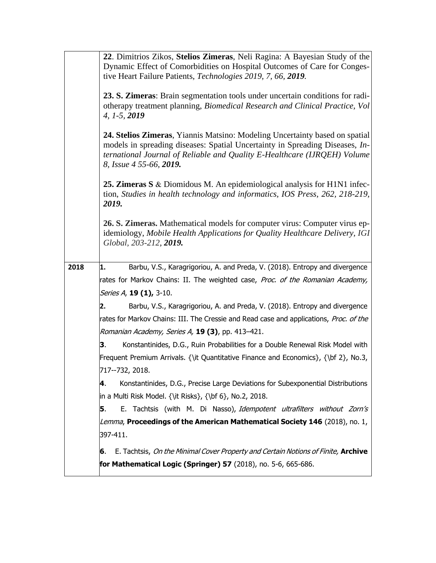|      | 22. Dimitrios Zikos, Stelios Zimeras, Neli Ragina: A Bayesian Study of the<br>Dynamic Effect of Comorbidities on Hospital Outcomes of Care for Conges-<br>tive Heart Failure Patients, Technologies 2019, 7, 66, 2019.                                             |
|------|--------------------------------------------------------------------------------------------------------------------------------------------------------------------------------------------------------------------------------------------------------------------|
|      | 23. S. Zimeras: Brain segmentation tools under uncertain conditions for radi-<br>otherapy treatment planning, Biomedical Research and Clinical Practice, Vol<br>$4, 1-5, 2019$                                                                                     |
|      | 24. Stelios Zimeras, Yiannis Matsino: Modeling Uncertainty based on spatial<br>models in spreading diseases: Spatial Uncertainty in Spreading Diseases, In-<br>ternational Journal of Reliable and Quality E-Healthcare (IJRQEH) Volume<br>8, Issue 4 55-66, 2019. |
|      | 25. Zimeras S & Diomidous M. An epidemiological analysis for H1N1 infec-<br>tion, Studies in health technology and informatics, IOS Press, 262, 218-219,<br>2019.                                                                                                  |
|      | 26. S. Zimeras. Mathematical models for computer virus: Computer virus ep-<br>idemiology, Mobile Health Applications for Quality Healthcare Delivery, IGI<br>Global, 203-212, 2019.                                                                                |
| 2018 | Barbu, V.S., Karagrigoriou, A. and Preda, V. (2018). Entropy and divergence<br>1.                                                                                                                                                                                  |
|      | rates for Markov Chains: II. The weighted case, Proc. of the Romanian Academy,                                                                                                                                                                                     |
|      | Series A, 19 (1), 3-10.                                                                                                                                                                                                                                            |
|      | Barbu, V.S., Karagrigoriou, A. and Preda, V. (2018). Entropy and divergence<br>2.                                                                                                                                                                                  |
|      | rates for Markov Chains: III. The Cressie and Read case and applications, Proc. of the                                                                                                                                                                             |
|      | Romanian Academy, Series A, 19 (3), pp. 413-421.                                                                                                                                                                                                                   |
|      | Konstantinides, D.G., Ruin Probabilities for a Double Renewal Risk Model with<br>З.                                                                                                                                                                                |
|      | Frequent Premium Arrivals. {\it Quantitative Finance and Economics}, {\bf 2}, No.3,                                                                                                                                                                                |
|      | 717--732, 2018.                                                                                                                                                                                                                                                    |
|      | Konstantinides, D.G., Precise Large Deviations for Subexponential Distributions<br>4.                                                                                                                                                                              |
|      | in a Multi Risk Model. {\it Risks}, {\bf 6}, No.2, 2018.                                                                                                                                                                                                           |
|      | E. Tachtsis (with M. Di Nasso), Idempotent ultrafilters without Zorn's<br>5.                                                                                                                                                                                       |
|      | Lemma, Proceedings of the American Mathematical Society 146 (2018), no. 1,                                                                                                                                                                                         |
|      | 397-411.                                                                                                                                                                                                                                                           |
|      | E. Tachtsis, On the Minimal Cover Property and Certain Notions of Finite, Archive<br>6.                                                                                                                                                                            |
|      | for Mathematical Logic (Springer) 57 (2018), no. 5-6, 665-686.                                                                                                                                                                                                     |